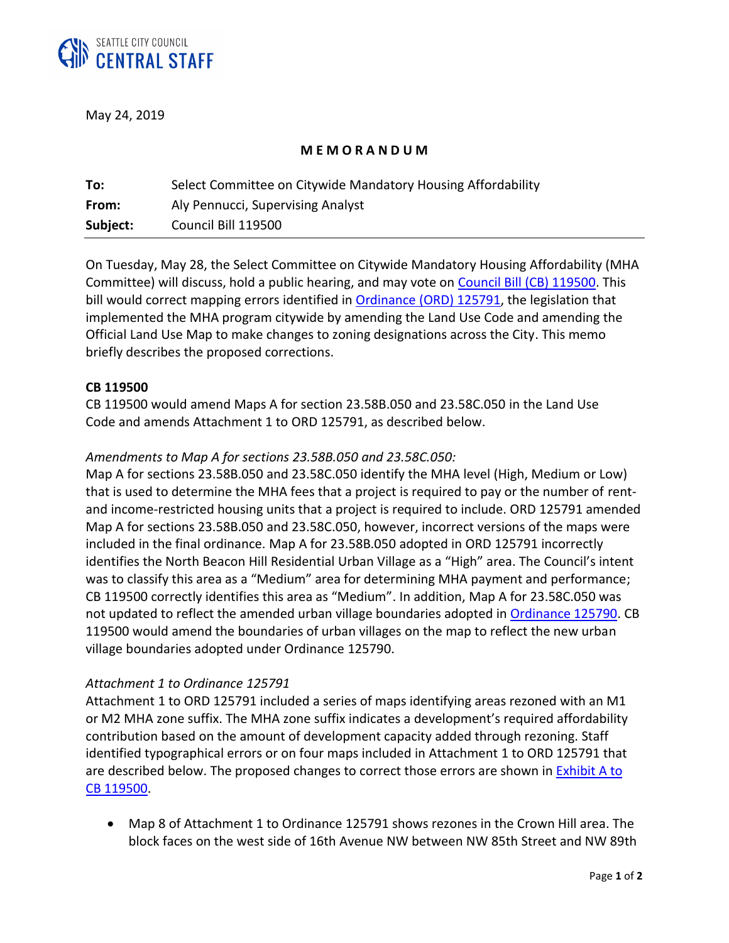

May 24, 2019

## **M E M O R A N D U M**

| To:      | Select Committee on Citywide Mandatory Housing Affordability |
|----------|--------------------------------------------------------------|
| From:    | Aly Pennucci, Supervising Analyst                            |
| Subject: | Council Bill 119500                                          |

On Tuesday, May 28, the Select Committee on Citywide Mandatory Housing Affordability (MHA Committee) will discuss, hold a public hearing, and may vote on [Council Bill \(CB\) 119500.](http://seattle.legistar.com/LegislationDetail.aspx?ID=3921609&GUID=9EB78E5D-1849-452D-B2A9-F597F6DB29A6&Options=ID|Text|&Search=Ordinance+125791) This bill would correct mapping errors identified i[n Ordinance \(ORD\) 125791,](http://seattle.legistar.com/LegislationDetail.aspx?ID=3840745&GUID=7E5F305E-10DA-41F3-AE5D-66E3CAEB81B1&Options=ID|Text|&Search=125791) the legislation that implemented the MHA program citywide by amending the Land Use Code and amending the Official Land Use Map to make changes to zoning designations across the City. This memo briefly describes the proposed corrections.

#### **CB 119500**

CB 119500 would amend Maps A for section 23.58B.050 and 23.58C.050 in the Land Use Code and amends Attachment 1 to ORD 125791, as described below.

### *Amendments to Map A for sections 23.58B.050 and 23.58C.050:*

Map A for sections 23.58B.050 and 23.58C.050 identify the MHA level (High, Medium or Low) that is used to determine the MHA fees that a project is required to pay or the number of rentand income-restricted housing units that a project is required to include. ORD 125791 amended Map A for sections 23.58B.050 and 23.58C.050, however, incorrect versions of the maps were included in the final ordinance. Map A for 23.58B.050 adopted in ORD 125791 incorrectly identifies the North Beacon Hill Residential Urban Village as a "High" area. The Council's intent was to classify this area as a "Medium" area for determining MHA payment and performance; CB 119500 correctly identifies this area as "Medium". In addition, Map A for 23.58C.050 was not updated to reflect the amended urban village boundaries adopted in **Ordinance 125790.** CB 119500 would amend the boundaries of urban villages on the map to reflect the new urban village boundaries adopted under Ordinance 125790.

### *Attachment 1 to Ordinance 125791*

Attachment 1 to ORD 125791 included a series of maps identifying areas rezoned with an M1 or M2 MHA zone suffix. The MHA zone suffix indicates a development's required affordability contribution based on the amount of development capacity added through rezoning. Staff identified typographical errors or on four maps included in Attachment 1 to ORD 125791 that are described below. The proposed changes to correct those errors are shown in Exhibit A to CB 1195[00.](http://seattle.legistar.com/View.ashx?M=F&ID=7166448&GUID=A7B341CC-3C7D-4C40-B0C9-AEE202EE25F2) 

• Map 8 of Attachment 1 to Ordinance 125791 shows rezones in the Crown Hill area. The block faces on the west side of 16th Avenue NW between NW 85th Street and NW 89th